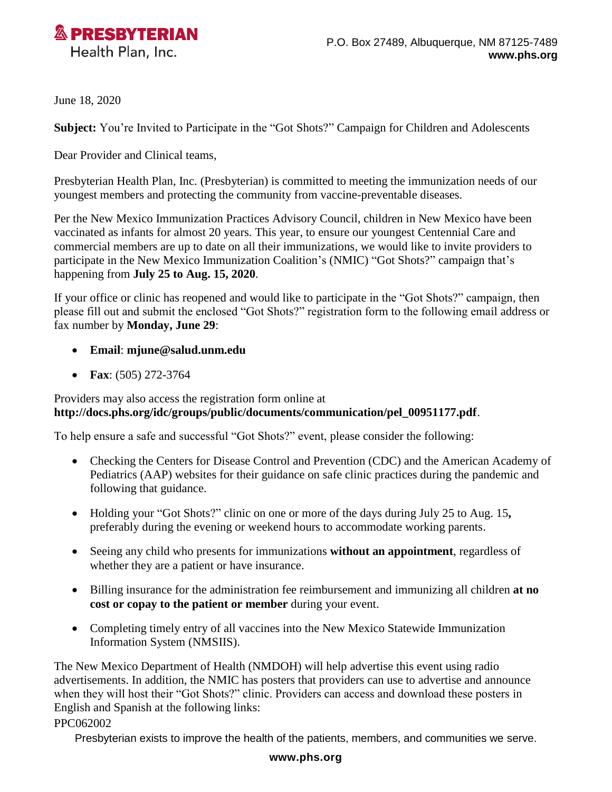

June 18, 2020

**Subject:** You're Invited to Participate in the "Got Shots?" Campaign for Children and Adolescents

Dear Provider and Clinical teams,

Presbyterian Health Plan, Inc. (Presbyterian) is committed to meeting the immunization needs of our youngest members and protecting the community from vaccine-preventable diseases.

Per the New Mexico Immunization Practices Advisory Council, children in New Mexico have been vaccinated as infants for almost 20 years. This year, to ensure our youngest Centennial Care and commercial members are up to date on all their immunizations, we would like to invite providers to participate in the New Mexico Immunization Coalition's (NMIC) "Got Shots?" campaign that's happening from **July 25 to Aug. 15, 2020**.

If your office or clinic has reopened and would like to participate in the "Got Shots?" campaign, then please fill out and submit the enclosed "Got Shots?" registration form to the following email address or fax number by **Monday, June 29**:

- **Email**: **[mjune@salud.unm.edu](mailto:mjune@salud.unm.edu)**
- **Fax**: (505) 272-3764

## Providers may also access the registration form online at **[http://docs.phs.org/idc/groups/public/documents/communication/pel\\_00951177.pdf](http://docs.phs.org/idc/groups/public/documents/communication/pel_00951177.pdf)**.

To help ensure a safe and successful "Got Shots?" event, please consider the following:

- Checking the Centers for Disease Control and Prevention (CDC) and the American Academy of Pediatrics (AAP) websites for their guidance on safe clinic practices during the pandemic and following that guidance.
- Holding your "Got Shots?" clinic on one or more of the days during July 25 to Aug. 15**,** preferably during the evening or weekend hours to accommodate working parents.
- Seeing any child who presents for immunizations **without an appointment**, regardless of whether they are a patient or have insurance.
- Billing insurance for the administration fee reimbursement and immunizing all children **at no cost or copay to the patient or member** during your event.
- Completing timely entry of all vaccines into the New Mexico Statewide Immunization Information System (NMSIIS).

The New Mexico Department of Health (NMDOH) will help advertise this event using radio advertisements. In addition, the NMIC has posters that providers can use to advertise and announce when they will host their "Got Shots?" clinic. Providers can access and download these posters in English and Spanish at the following links:

## PPC062002

Presbyterian exists to improve the health of the patients, members, and communities we serve.

## **www.phs.org**